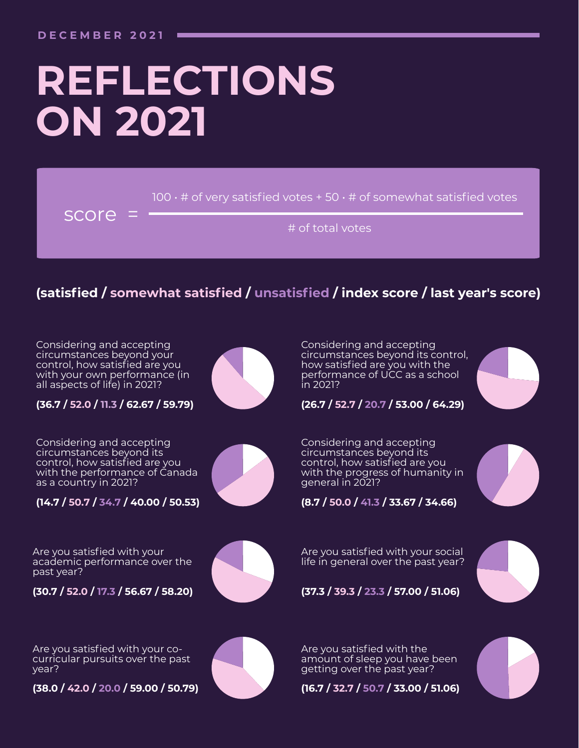# **REFLECTIONS ON 2021**

 $100 \cdot \#$  of very satisfied votes + 50  $\cdot$  # of somewhat satisfied votes

score =

# of total votes

### **(satisfied / somewhat satisfied / unsatisfied / index score / last year's score)**

Considering and accepting circumstances beyond your control, how satisfied are you with your own performance (in all aspects of life) in 2021?

**(36.7 / 52.0 / 11.3 / 62.67 / 59.79)**

Considering and accepting circumstances beyond its control, how satisfied are you with the performance of Canada as a country in 2021?

**(14.7 / 50.7 / 34.7 / 40.00 / 50.53)**

Are you satisfied with your academic performance over the past year?

**(30.7 / 52.0 / 17.3 / 56.67 / 58.20)**



Considering and accepting circumstances beyond its control, how satisfied are you with the performance of UCC as a school in 2021?



**(26.7 / 52.7 / 20.7 / 53.00 / 64.29)**

Considering and accepting circumstances beyond its control, how satisfied are you with the progress of humanity in general in 2021?





Are you satisfied with your social life in general over the past year?



**(37.3 / 39.3 / 23.3 / 57.00 / 51.06)**

Are you satisfied with your cocurricular pursuits over the past year?

**(38.0 / 42.0 / 20.0 / 59.00 / 50.79)**



Are you satisfied with the amount of sleep you have been getting over the past year?

**(16.7 / 32.7 / 50.7 / 33.00 / 51.06)**

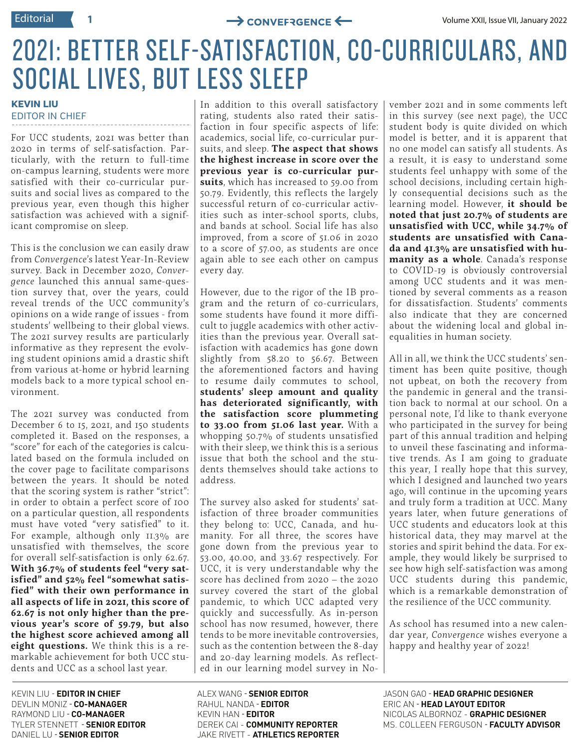### 2021: BETTER SELF-SATISFACTION, CO-CURRICULARS, AND SOCIAL LIVES, BUT LESS SLEEP

#### **KEVIN LIU** EDITOR IN CHIEF

For UCC students, 2021 was better than 2020 in terms of self-satisfaction. Particularly, with the return to full-time on-campus learning, students were more satisfied with their co-curricular pursuits and social lives as compared to the previous year, even though this higher satisfaction was achieved with a significant compromise on sleep.

This is the conclusion we can easily draw from *Convergence*'s latest Year-In-Review survey. Back in December 2020, *Convergence* launched this annual same-question survey that, over the years, could reveal trends of the UCC community's opinions on a wide range of issues - from students' wellbeing to their global views. The 2021 survey results are particularly informative as they represent the evolving student opinions amid a drastic shift from various at-home or hybrid learning models back to a more typical school environment.

The 2021 survey was conducted from December 6 to 15, 2021, and 150 students completed it. Based on the responses, a "score" for each of the categories is calculated based on the formula included on the cover page to facilitate comparisons between the years. It should be noted that the scoring system is rather "strict": in order to obtain a perfect score of 100 on a particular question, all respondents must have voted "very satisfied" to it. For example, although only  $II.3\%$  are unsatisfied with themselves, the score for overall self-satisfaction is only 62.67. **With 36.7% of students feel "very satisfied" and 52% feel "somewhat satisfied" with their own performance in all aspects of life in 2021, this score of 62.67 is not only higher than the previous year's score of 59.79, but also the highest score achieved among all eight questions.** We think this is a remarkable achievement for both UCC students and UCC as a school last year.

KEVIN LIU - **EDITOR IN CHIEF** DEVLIN MONIZ - **CO-MANAGER** RAYMOND LIU - **CO-MANAGER** TYLER STENNETT - **SENIOR EDITOR** DANIEL LU - **SENIOR EDITOR**

In addition to this overall satisfactory rating, students also rated their satisfaction in four specific aspects of life: academics, social life, co-curricular pursuits, and sleep. **The aspect that shows the highest increase in score over the previous year is co-curricular pursuits**, which has increased to 59.00 from 50.79. Evidently, this reflects the largely successful return of co-curricular activities such as inter-school sports, clubs, and bands at school. Social life has also improved, from a score of 51.06 in 2020 to a score of 57.00, as students are once again able to see each other on campus every day.

However, due to the rigor of the IB program and the return of co-curriculars, some students have found it more difficult to juggle academics with other activities than the previous year. Overall satisfaction with academics has gone down slightly from 58.20 to 56.67. Between the aforementioned factors and having to resume daily commutes to school, **students' sleep amount and quality has deteriorated significantly, with the satisfaction score plummeting to 33.00 from 51.06 last year.** With a whopping 50.7% of students unsatisfied with their sleep, we think this is a serious issue that both the school and the students themselves should take actions to address.

The survey also asked for students' satisfaction of three broader communities they belong to: UCC, Canada, and humanity. For all three, the scores have gone down from the previous year to 53.00, 40.00, and 33.67 respectively. For UCC, it is very understandable why the score has declined from 2020 – the 2020 survey covered the start of the global pandemic, to which UCC adapted very quickly and successfully. As in-person school has now resumed, however, there tends to be more inevitable controversies, such as the contention between the 8-day and 20-day learning models. As reflected in our learning model survey in No-

vember 2021 and in some comments left in this survey (see next page), the UCC student body is quite divided on which model is better, and it is apparent that no one model can satisfy all students. As a result, it is easy to understand some students feel unhappy with some of the school decisions, including certain highly consequential decisions such as the learning model. However, **it should be noted that just 20.7% of students are unsatisfied with UCC, while 34.7% of students are unsatisfied with Canada and 41.3% are unsatisfied with humanity as a whole**. Canada's response to COVID-19 is obviously controversial among UCC students and it was mentioned by several comments as a reason for dissatisfaction. Students' comments also indicate that they are concerned about the widening local and global inequalities in human society.

All in all, we think the UCC students' sentiment has been quite positive, though not upbeat, on both the recovery from the pandemic in general and the transition back to normal at our school. On a personal note, I'd like to thank everyone who participated in the survey for being part of this annual tradition and helping to unveil these fascinating and informative trends. As I am going to graduate this year, I really hope that this survey, which I designed and launched two years ago, will continue in the upcoming years and truly form a tradition at UCC. Many years later, when future generations of UCC students and educators look at this historical data, they may marvel at the stories and spirit behind the data. For example, they would likely be surprised to see how high self-satisfaction was among UCC students during this pandemic, which is a remarkable demonstration of the resilience of the UCC community.

As school has resumed into a new calendar year, *Convergence* wishes everyone a happy and healthy year of 2022!

ALEX WANG - **SENIOR EDITOR** RAHUL NANDA - **EDITOR** KEVIN HAN - **EDITOR** DEREK CAI - **COMMUNITY REPORTER** JAKE RIVETT - **ATHLETICS REPORTER**

JASON GAO - **HEAD GRAPHIC DESIGNER** ERIC AN - **HEAD LAYOUT EDITOR** NICOLAS ALBORNOZ - **GRAPHIC DESIGNER** MS. COLLEEN FERGUSON - **FACULTY ADVISOR**